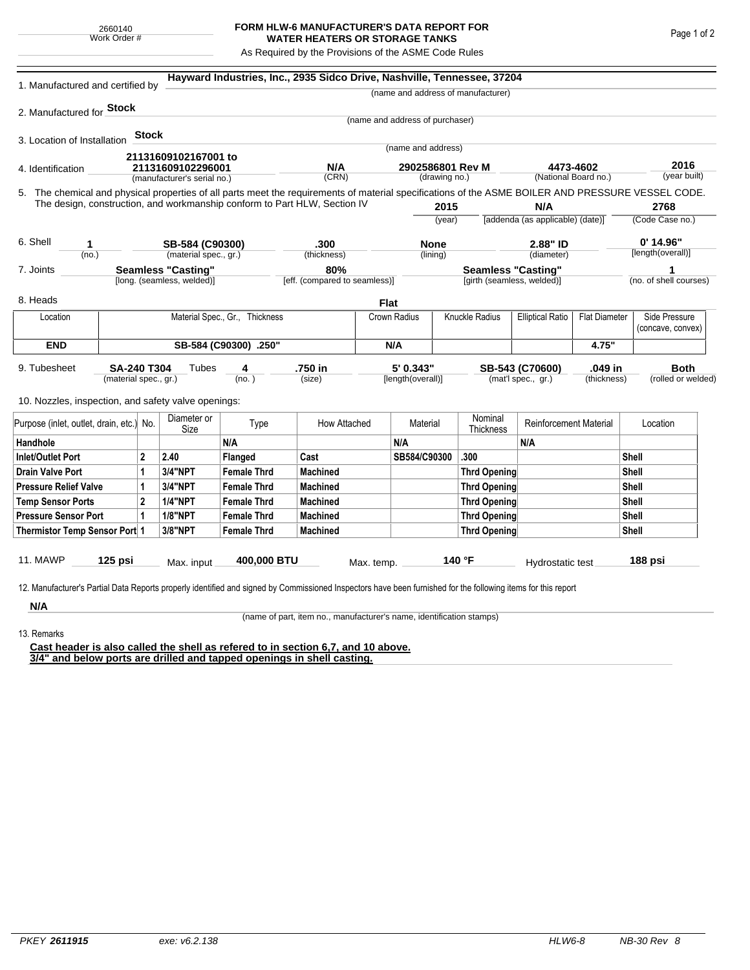## **FORM HLW-6 MANUFACTURER'S DATA REPORT FOR WATER HEATERS OR STORAGE TANKS**

As Required by the Provisions of the ASME Code Rules

| 1. Manufactured and certified by                                                                                                                              |           |                     |                                                         | Hayward Industries, Inc., 2935 Sidco Drive, Nashville, Tennessee, 37204 |                                      |             |                                   |                      |                                                      |                                   |                                  |                             |                   |  |
|---------------------------------------------------------------------------------------------------------------------------------------------------------------|-----------|---------------------|---------------------------------------------------------|-------------------------------------------------------------------------|--------------------------------------|-------------|-----------------------------------|----------------------|------------------------------------------------------|-----------------------------------|----------------------------------|-----------------------------|-------------------|--|
|                                                                                                                                                               |           |                     |                                                         |                                                                         |                                      |             |                                   |                      | (name and address of manufacturer)                   |                                   |                                  |                             |                   |  |
| 2. Manufactured for Stock                                                                                                                                     |           |                     |                                                         |                                                                         |                                      |             |                                   |                      |                                                      |                                   |                                  |                             |                   |  |
|                                                                                                                                                               |           |                     |                                                         |                                                                         |                                      |             | (name and address of purchaser)   |                      |                                                      |                                   |                                  |                             |                   |  |
| 3. Location of Installation                                                                                                                                   |           | Stock               |                                                         |                                                                         |                                      |             |                                   |                      |                                                      |                                   |                                  |                             |                   |  |
|                                                                                                                                                               |           |                     | 21131609102167001 to                                    |                                                                         |                                      |             | (name and address)                |                      |                                                      |                                   |                                  |                             |                   |  |
| 4. Identification                                                                                                                                             |           |                     | 21131609102296001                                       |                                                                         | N/A                                  |             | 2902586801 Rev M<br>(drawing no.) |                      |                                                      | 4473-4602<br>(National Board no.) |                                  | 2016<br>(year built)        |                   |  |
| 5. The chemical and physical properties of all parts meet the requirements of material specifications of the ASME BOILER AND PRESSURE VESSEL CODE.            |           |                     | (manufacturer's serial no.)                             |                                                                         | (CRN)                                |             |                                   |                      |                                                      |                                   |                                  |                             |                   |  |
| The design, construction, and workmanship conform to Part HLW, Section IV                                                                                     |           |                     |                                                         |                                                                         |                                      |             |                                   | 2015                 |                                                      | N/A                               |                                  |                             | 2768              |  |
|                                                                                                                                                               |           |                     |                                                         |                                                                         |                                      |             | (year)                            |                      | [addenda (as applicable) (date)]                     |                                   |                                  | (Code Case no.)             |                   |  |
|                                                                                                                                                               |           |                     |                                                         |                                                                         |                                      |             |                                   |                      |                                                      |                                   |                                  |                             |                   |  |
| 6. Shell<br>1                                                                                                                                                 |           |                     | SB-584 (C90300)                                         |                                                                         | .300                                 |             | <b>None</b>                       |                      | 2.88" ID                                             |                                   | $0'$ 14.96"<br>[length(overall)] |                             |                   |  |
| (no.)                                                                                                                                                         |           |                     | (material spec., gr.)                                   |                                                                         | (thickness)                          |             |                                   | (lining)             |                                                      | (diameter)                        |                                  |                             |                   |  |
| 7. Joints                                                                                                                                                     |           |                     | <b>Seamless "Casting"</b><br>[long. (seamless, welded)] |                                                                         | 80%<br>[eff. (compared to seamless)] |             | <b>Seamless "Casting"</b>         |                      | [girth (seamless, welded)]                           |                                   |                                  | 1<br>(no. of shell courses) |                   |  |
| 8. Heads                                                                                                                                                      |           |                     |                                                         |                                                                         |                                      | <b>Flat</b> |                                   |                      |                                                      |                                   |                                  |                             |                   |  |
| Location                                                                                                                                                      |           |                     |                                                         | Material Spec., Gr., Thickness                                          |                                      |             | Crown Radius                      |                      | Knuckle Radius                                       | <b>Elliptical Ratio</b>           | <b>Flat Diameter</b>             |                             | Side Pressure     |  |
|                                                                                                                                                               |           |                     |                                                         |                                                                         |                                      |             |                                   |                      |                                                      |                                   |                                  |                             | (concave, convex) |  |
| <b>END</b>                                                                                                                                                    |           |                     | SB-584 (C90300) .250"                                   |                                                                         |                                      |             | N/A                               |                      |                                                      |                                   | 4.75"                            |                             |                   |  |
| 9. Tubesheet                                                                                                                                                  |           |                     | Tubes                                                   | 4                                                                       | .750 in                              |             | 5' 0.343"                         |                      |                                                      |                                   | .049 in                          |                             | <b>Both</b>       |  |
| <b>SA-240 T304</b><br>(material spec., gr.)                                                                                                                   |           |                     | (no.)                                                   |                                                                         | (size)                               |             | [length(overall)]                 |                      | SB-543 (C70600)<br>(mat'l spec., gr.)<br>(thickness) |                                   |                                  | (rolled or welded)          |                   |  |
|                                                                                                                                                               |           |                     |                                                         |                                                                         |                                      |             |                                   |                      |                                                      |                                   |                                  |                             |                   |  |
| 10. Nozzles, inspection, and safety valve openings:                                                                                                           |           |                     |                                                         |                                                                         |                                      |             |                                   |                      |                                                      |                                   |                                  |                             |                   |  |
| Purpose (inlet, outlet, drain, etc.) No.                                                                                                                      |           | Diameter or<br>Size | Type                                                    | How Attached                                                            |                                      | Material    |                                   | Nominal<br>Thickness | <b>Reinforcement Material</b>                        |                                   | Location                         |                             |                   |  |
| Handhole                                                                                                                                                      |           |                     |                                                         | N/A                                                                     |                                      |             | N/A                               |                      |                                                      | N/A                               |                                  |                             |                   |  |
| 2<br>Inlet/Outlet Port                                                                                                                                        |           |                     | 2.40                                                    | Flanged                                                                 | Cast                                 |             | SB584/C90300                      |                      | .300                                                 |                                   |                                  | Shell                       |                   |  |
| Drain Valve Port<br>1                                                                                                                                         |           |                     | 3/4"NPT                                                 | <b>Female Thrd</b>                                                      | <b>Machined</b>                      |             |                                   |                      | Thrd Opening                                         |                                   |                                  |                             | Shell             |  |
| <b>Pressure Relief Valve</b><br>1                                                                                                                             |           |                     | 3/4"NPT                                                 | <b>Female Thrd</b>                                                      | <b>Machined</b>                      |             |                                   |                      | Thrd Opening                                         |                                   |                                  |                             | Shell             |  |
| $\overline{2}$<br><b>Temp Sensor Ports</b>                                                                                                                    |           |                     | <b>1/4"NPT</b>                                          | <b>Female Thrd</b>                                                      | <b>Machined</b>                      |             |                                   |                      | Thrd Opening                                         |                                   |                                  | Shell                       |                   |  |
| <b>Pressure Sensor Port</b><br>1                                                                                                                              |           |                     | <b>1/8"NPT</b>                                          | <b>Female Thrd</b>                                                      | <b>Machined</b>                      |             |                                   |                      | Thrd Opening                                         |                                   |                                  |                             | Shell             |  |
| Thermistor Temp Sensor Port 1                                                                                                                                 |           |                     | 3/8"NPT                                                 | <b>Female Thrd</b>                                                      | <b>Machined</b>                      |             |                                   |                      | Thrd Opening                                         |                                   | Shell                            |                             |                   |  |
|                                                                                                                                                               |           |                     |                                                         |                                                                         |                                      |             |                                   |                      |                                                      |                                   |                                  |                             |                   |  |
| 11. MAWP                                                                                                                                                      | $125$ psi |                     | Max. input                                              | 400,000 BTU                                                             |                                      | Max. temp.  |                                   |                      | 140 °F                                               | Hydrostatic test                  |                                  |                             | 188 psi           |  |
|                                                                                                                                                               |           |                     |                                                         |                                                                         |                                      |             |                                   |                      |                                                      |                                   |                                  |                             |                   |  |
| 12. Manufacturer's Partial Data Reports properly identified and signed by Commissioned Inspectors have been furnished for the following items for this report |           |                     |                                                         |                                                                         |                                      |             |                                   |                      |                                                      |                                   |                                  |                             |                   |  |
| N/A                                                                                                                                                           |           |                     |                                                         |                                                                         |                                      |             |                                   |                      |                                                      |                                   |                                  |                             |                   |  |

(name of part, item no., manufacturer's name, identification stamps)

13. Remarks

**Cast header is also called the shell as refered to in section 6,7, and 10 above. 3/4" and below ports are drilled and tapped openings in shell casting.**